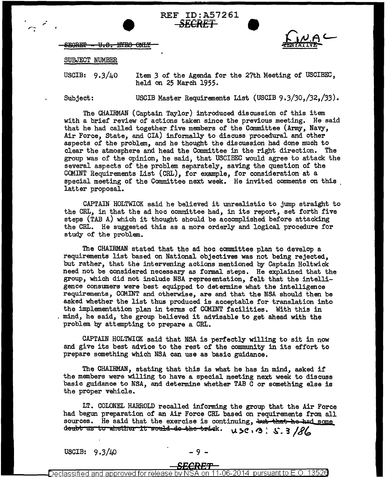SEGRET - U.S. EYES ONLY



#### SUBJECT NUMBER

USCIB:  $9.3/40$ 

Item *3* of the Agenda for the 27th Meeting of USCIBEC, held on 25 March 1955.

Subject:

*,.:* 

USCIB Master Requirements List (USCIB 9.3/30,/32,/33).

The CHAIRMAN (Captain Taylor) introduced discussion of this item with a brief review of actions taken since the previous meeting. He said that he had called together five members of the Committee (Army, Navy, Air Force, State, and CIA) informally to discuss procedural and other aspects of the problem, and he thought the discussion had done much to clear the atmosphere and head the Committee in the right direction. The clear the atmosphere and head the Committee in the right direction. group was of the opinion, he said, that USCIBEC would agree to attack the several aspects of the problem separately, saving the question of the COMINT Requirements List (CRL), for example, for consideration at a special meeting of the Committee next week. He invited comments on this latter proposal.

REF ID:A57261 • *SECRET* ~

CAPTAIN HOLTWICK said he believed it unrealistic to jump straight to the CRL, in that the ad hoc committee had, in its report, set forth five steps (TAB A) which it thought should be accomplished before attacking the CRL. He suggested this as a more orderly and logical procedure for study of the problem.

The CHAIRMAN stated that the ad hoc committee plan to develop a requirements list based on National objectives was not being rejected, but rather, that the intervening actions mentioned by Captain Holtwick need not be considered necessary as formal steps. He explained that the group, which did not include NSA representation, felt that the intelligence consumers were best equipped to determine what the intelligence requirements, COMINT and otherwise, are and that the NSA should then be asked whether the list thus produced is acceptable for translation into the implementation plan in terms of COMINT facilities. With this in mind, he said, the group believed it advisable to get ahead with the problem by attempting to prepare a CRL.

CAPTAIN HOLTWICK said that NSA is perfectly willing to sit in now and give its best advice to the rest of the community in its effort to prepare something which NSA can use as basic guidance.

The CHAIRMAN, stating that this is what he has in mind, asked if the members were willing to have a special meeting next week to discuss basic guidance to NSA, and determine whether TAB C or something else is the proper vehicle.

LT. COLONEL HARROLD recalled informing the group that the Air Force had begun preparation of an Air Force CRL based on requirements from all sources. He said that the exercise is continuing, but that he had some deubt as to whether it would do the trick.  $\mu$  5C, 3. 5. 3/86

USCIB:  $9.3/\mu$ 0 - 9 -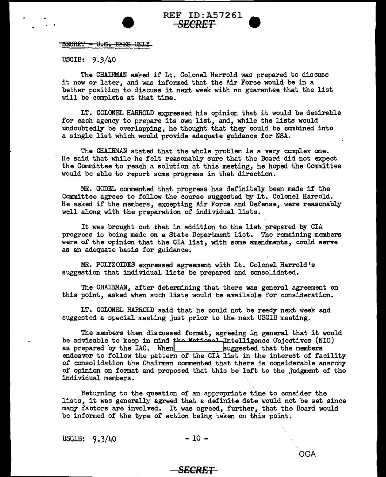# REF ID: A57261 **SECRET** ●

SECRET - U.S. EYES ONLY

USCIB: 9.3/40

The CHAIRMAN asked if Lt. Colonel Harrold was prepared to discuss it now or later, and was informed that the Air Force would be in a better position to discuss it next week with no guarantee that the list will be complete at that time.

LT. COLONEL HARROLD expressed his opinion that it would be desirable for each agency to prepare its own list, and, while the lists would undoubtedly be overlapping, he thought that they could be combined into a single list which would provide adequate guidance for NSA.

The CHAIRMAN stated that the whole problem is a very complex one. He said that while he felt reasonably sure that the Board did not expect the Committee to reach a solution at this meeting, he hoped the Committee would be able to report some progress in that direction.

MR. GODEL commented that progress has definitely been made if the Committee agrees to follow the course suggested by Lt. Colonel Harrold. He asked if the members, excepting Air Force and Defense, were reasonably well along with the preparation of individual lists.

It was brought out that in addition to the list prepared by CIA progress is being made on a State Department List. The remaining members were of the opinion that the CIA list, with some amendments, could serve as an adequate basis for guidance.

MR. POLYZOIDES expressed agreement with Lt. Colonel Harrold's suggestion that individual lists be prepared and consolidated.

The CHAIRMAN, after determining that there was general agreement on this point, asked when such lists would be available for consideration.

LT. COLONEL HARROLD said that he could not be ready next week and suggested a special meeting just prior to the next USCIB meeting.

The members then discussed format, agreeing in general that it would be advisable to keep in mind **fbe** National ~ntelligence Objectives (NIO) as prepared by the IAC. When suggested that the members as prepared by the IAC. When suggested that the members endeavor to follow the pattern of the CIA list in the interest of facility of consolidation the Chairman commented that there is considerable anarchy of opinion on format and proposed that this be\left to the judgment of the individual members.

Returning to the question of an appropriate time to consider the lists, it was generally agreed that *a* definite date would not be set since many factors are involved. It was agreed, further, that the Board would be informed of the type of action being taken on this point.

USCIB:  $9.3/40$  - 10 -

#### *SECRET*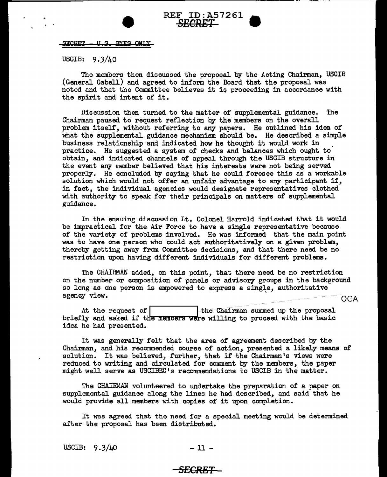

**SECRET** <del>U.S.</del> **EYES ONLY** 

USCIB: 9.3/40

The members then discussed the proposal by the Acting Chairman, USCIB (General Cabell) and agreed to inform the Board that the proposal was noted and that the Committee believes it is proceeding in accordance with the spirit and intent of it.

Discussion then turned to the matter of supplemental guidance. The Chairman paused to request reflection by the members on the overall problem itself, without referring to any papers. He outlined his idea of what the supplemental guidance mechanism should be. He described a simple business relationship and indicated how he thought it would work in practice. He suggested a system of checks and balances which ought to obtain, and indicated channels of appeal through the USCIB structure in the event any member believed that his interests were not being served properly. He concluded by saying that he could foresee this as a workable solution which would not offer an unfair advantage to any participant if, in fact, the individual agencies would designate representatives clothed with authority to speak for their principals on matters of supplemental guidance.

In the ensuing discussion Lt. Colonel Harrold indicated that it would be impractical for the Air Force to have a single representative because of the variety of problems involved. He was informed that the main point was to have one person who could act authoritatively on a given problem, thereby getting away from Committee decisions, and that there need be no restriction upon having different individuals for different problems.

The CHAIRMAN added, on this point, that there need be no restriction on the number or composition of panels or advisory groups in the background so long as one person is empowered to express a single, authoritative agency view.  $OGA$ 

At the request of | I the Chairman summed up the proposal briefly and asked if the members were willing to proceed with the basic idea he had presented.

It was generally felt that the area of agreement described by the Chairman, and his recommended course of action, presented a likely means of solution. It was believed, further, that if the Chairman's views were reduced to writing and circulated for comment by the members, the paper might well serve as USCIBEC's recommendations to USCIB in the matter.

The CHAIRMAN volunteered to undertake the preparation of a paper on supplemental guidance along the lines he had described, and said that he would provide all members with copies of it upon completion.

It was agreed that the need for a special meeting would be determined after the proposal has been distributed.

USCIB:  $9.3/\mu$ 0 - 11 -

### *SECRET*